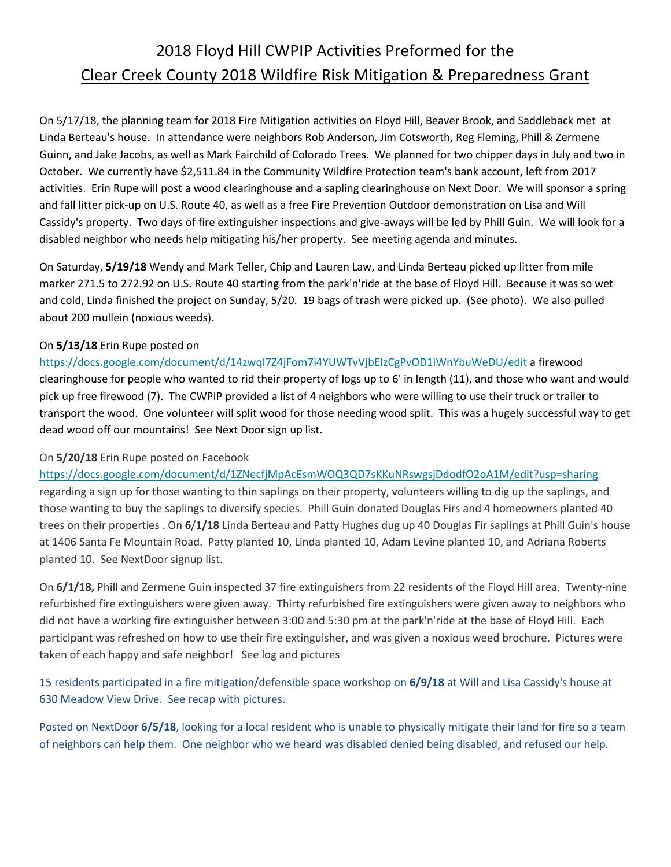## 2018 Floyd Hill CWPIP Activities Preformed for the Clear Creek County 2018 Wildfire Risk Mitigation & Preparedness Grant

On 5/17/18, the planning team for 2018 Fire Mitigation activities on Floyd Hill, Beaver Brook, and Saddleback met at Linda Berteau's house. In attendance were neighbors Rob Anderson, Jim Cotsworth, Reg Fleming, Phill & Zermene Guinn, and Jake Jacobs, as well as Mark Fairchild of Colorado Trees. We planned for two chipper days in July and two in October. We currently have \$2,511.84 in the Community Wildfire Protection team's bank account, left from 2017 activities. Erin Rupe will post a wood clearinghouse and a sapling clearinghouse on Next Door. We will sponsor a spring and fall litter pick-up on U.S. Route 40, as well as a free Fire Prevention Outdoor demonstration on Lisa and Will Cassidy's property. Two days of fire extinguisher inspections and give-aways will be led by Phill Guin. We will look for a disabled neighbor who needs help mitigating his/her property. See meeting agenda and minutes.

On Saturday, **5/19/18** Wendy and Mark Teller, Chip and Lauren Law, and Linda Berteau picked up litter from mile marker 271.5 to 272.92 on U.S. Route 40 starting from the park'n'ride at the base of Floyd Hill. Because it was so wet and cold, Linda finished the project on Sunday, 5/20. 19 bags of trash were picked up. (See photo). We also pulled about 200 mullein (noxious weeds).

## On **5/13/18** Erin Rupe posted on

<https://docs.google.com/document/d/14zwqI7Z4jFom7i4YUWTvVjbEIzCgPvOD1iWnYbuWeDU/edit> a firewood clearinghouse for people who wanted to rid their property of logs up to 6' in length (11), and those who want and would pick up free firewood (7). The CWPIP provided a list of 4 neighbors who were willing to use their truck or trailer to transport the wood. One volunteer will split wood for those needing wood split. This was a hugely successful way to get dead wood off our mountains! See Next Door sign up list.

## On **5/20/18** Erin Rupe posted on Facebook

[https://docs.google.com/document/d/1ZNecfjMpAcEsmWOQ3QD7sKKuNRswgsjDdodfO2oA1M/edit?usp=sharing](https://docs.google.com/document/d/1ZNecfjMpAcEs-mWOQ3QD7sKKuNRswgsjDdodfO2oA1M/edit?usp=sharing) regarding a sign up for those wanting to thin saplings on their property, volunteers willing to dig up the saplings, and those wanting to buy the saplings to diversify species. Phill Guin donated Douglas Firs and 4 homeowners planted 40 trees on their properties . On **6**/**1/18** Linda Berteau and Patty Hughes dug up 40 Douglas Fir saplings at Phill Guin's house at 1406 Santa Fe Mountain Road. Patty planted 10, Linda planted 10, Adam Levine planted 10, and Adriana Roberts planted 10. See NextDoor signup list.

On **6/1/18,** Phill and Zermene Guin inspected 37 fire extinguishers from 22 residents of the Floyd Hill area. Twenty-nine refurbished fire extinguishers were given away. Thirty refurbished fire extinguishers were given away to neighbors who did not have a working fire extinguisher between 3:00 and 5:30 pm at the park'n'ride at the base of Floyd Hill. Each participant was refreshed on how to use their fire extinguisher, and was given a noxious weed brochure. Pictures were taken of each happy and safe neighbor! See log and pictures

15 residents participated in a fire mitigation/defensible space workshop on **6/9/18** at Will and Lisa Cassidy's house at 630 Meadow View Drive. See recap with pictures.

Posted on NextDoor **6/5/18**, looking for a local resident who is unable to physically mitigate their land for fire so a team of neighbors can help them. One neighbor who we heard was disabled denied being disabled, and refused our help.